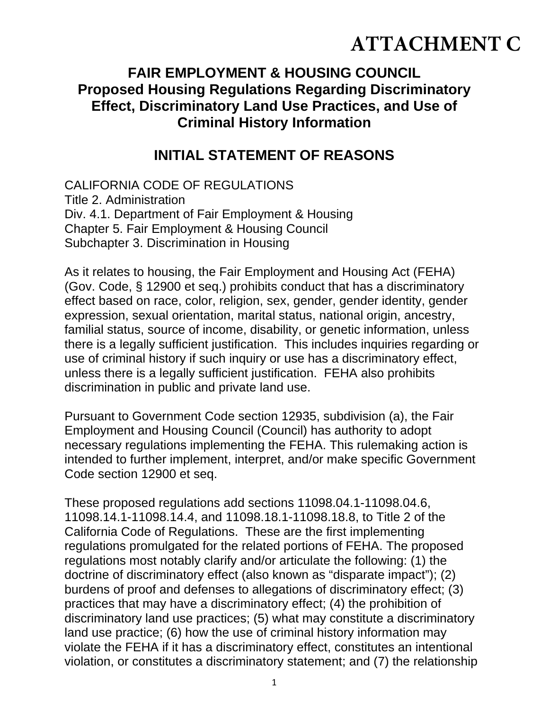# **ATTACHMENT C**

# **FAIR EMPLOYMENT & HOUSING COUNCIL Proposed Housing Regulations Regarding Discriminatory Effect, Discriminatory Land Use Practices, and Use of Criminal History Information**

# **INITIAL STATEMENT OF REASONS**

CALIFORNIA CODE OF REGULATIONS Title 2. Administration Div. 4.1. Department of Fair Employment & Housing Chapter 5. Fair Employment & Housing Council Subchapter 3. Discrimination in Housing

As it relates to housing, the Fair Employment and Housing Act (FEHA) (Gov. Code, § 12900 et seq.) prohibits conduct that has a discriminatory effect based on race, color, religion, sex, gender, gender identity, gender expression, sexual orientation, marital status, national origin, ancestry, familial status, source of income, disability, or genetic information, unless there is a legally sufficient justification. This includes inquiries regarding or use of criminal history if such inquiry or use has a discriminatory effect, unless there is a legally sufficient justification. FEHA also prohibits discrimination in public and private land use.

Pursuant to Government Code section 12935, subdivision (a), the Fair Employment and Housing Council (Council) has authority to adopt necessary regulations implementing the FEHA. This rulemaking action is intended to further implement, interpret, and/or make specific Government Code section 12900 et seq.

These proposed regulations add sections 11098.04.1-11098.04.6, 11098.14.1-11098.14.4, and 11098.18.1-11098.18.8, to Title 2 of the California Code of Regulations. These are the first implementing regulations promulgated for the related portions of FEHA. The proposed regulations most notably clarify and/or articulate the following: (1) the doctrine of discriminatory effect (also known as "disparate impact"); (2) burdens of proof and defenses to allegations of discriminatory effect; (3) practices that may have a discriminatory effect; (4) the prohibition of discriminatory land use practices; (5) what may constitute a discriminatory land use practice; (6) how the use of criminal history information may violate the FEHA if it has a discriminatory effect, constitutes an intentional violation, or constitutes a discriminatory statement; and (7) the relationship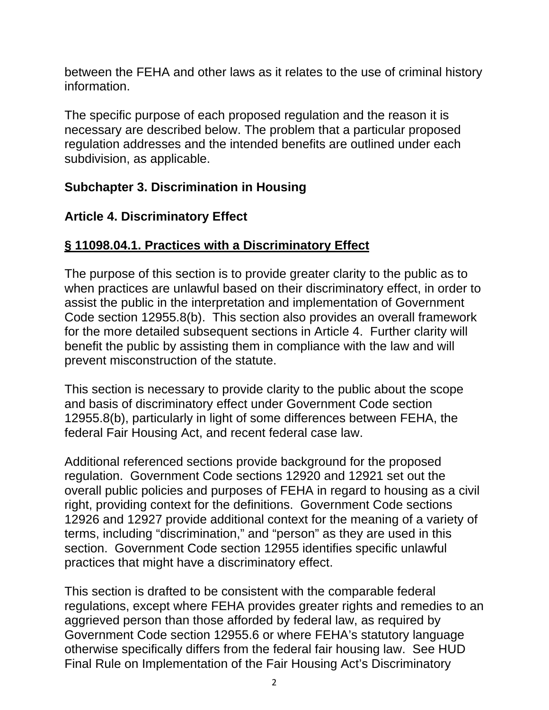between the FEHA and other laws as it relates to the use of criminal history information.

The specific purpose of each proposed regulation and the reason it is necessary are described below. The problem that a particular proposed regulation addresses and the intended benefits are outlined under each subdivision, as applicable.

#### **Subchapter 3. Discrimination in Housing**

## **Article 4. Discriminatory Effect**

## **§ 11098.04.1. Practices with a Discriminatory Effect**

The purpose of this section is to provide greater clarity to the public as to when practices are unlawful based on their discriminatory effect, in order to assist the public in the interpretation and implementation of Government Code section 12955.8(b). This section also provides an overall framework for the more detailed subsequent sections in Article 4. Further clarity will benefit the public by assisting them in compliance with the law and will prevent misconstruction of the statute.

This section is necessary to provide clarity to the public about the scope and basis of discriminatory effect under Government Code section 12955.8(b), particularly in light of some differences between FEHA, the federal Fair Housing Act, and recent federal case law.

Additional referenced sections provide background for the proposed regulation. Government Code sections 12920 and 12921 set out the overall public policies and purposes of FEHA in regard to housing as a civil right, providing context for the definitions. Government Code sections 12926 and 12927 provide additional context for the meaning of a variety of terms, including "discrimination," and "person" as they are used in this section. Government Code section 12955 identifies specific unlawful practices that might have a discriminatory effect.

This section is drafted to be consistent with the comparable federal regulations, except where FEHA provides greater rights and remedies to an aggrieved person than those afforded by federal law, as required by Government Code section 12955.6 or where FEHA's statutory language otherwise specifically differs from the federal fair housing law. See HUD Final Rule on Implementation of the Fair Housing Act's Discriminatory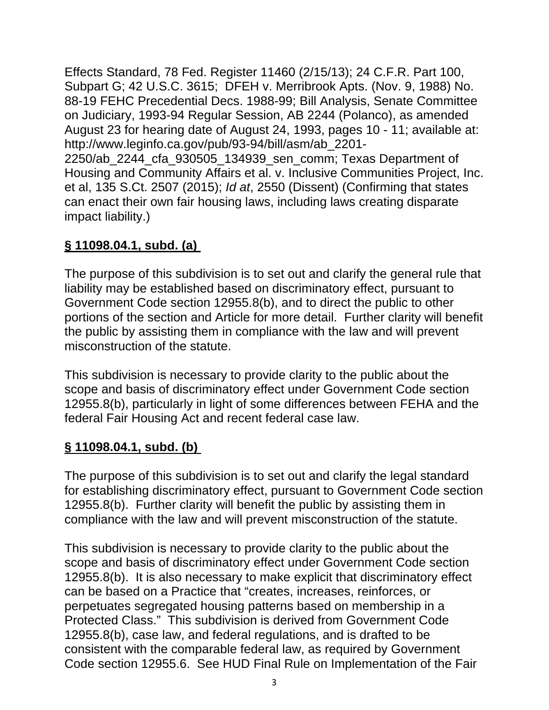Effects Standard, 78 Fed. Register 11460 (2/15/13); 24 C.F.R. Part 100, Subpart G; 42 U.S.C. 3615; DFEH v. Merribrook Apts. (Nov. 9, 1988) No. 88-19 FEHC Precedential Decs. 1988-99; Bill Analysis, Senate Committee on Judiciary, 1993-94 Regular Session, AB 2244 (Polanco), as amended August 23 for hearing date of August 24, 1993, pages 10 - 11; available at: http://www.leginfo.ca.gov/pub/93-94/bill/asm/ab\_2201- 2250/ab\_2244\_cfa\_930505\_134939\_sen\_comm; Texas Department of Housing and Community Affairs et al. v. Inclusive Communities Project, Inc. et al, 135 S.Ct. 2507 (2015); *Id at*, 2550 (Dissent) (Confirming that states can enact their own fair housing laws, including laws creating disparate impact liability.)

# **§ 11098.04.1, subd. (a)**

The purpose of this subdivision is to set out and clarify the general rule that liability may be established based on discriminatory effect, pursuant to Government Code section 12955.8(b), and to direct the public to other portions of the section and Article for more detail. Further clarity will benefit the public by assisting them in compliance with the law and will prevent misconstruction of the statute.

This subdivision is necessary to provide clarity to the public about the scope and basis of discriminatory effect under Government Code section 12955.8(b), particularly in light of some differences between FEHA and the federal Fair Housing Act and recent federal case law.

# **§ 11098.04.1, subd. (b)**

The purpose of this subdivision is to set out and clarify the legal standard for establishing discriminatory effect, pursuant to Government Code section 12955.8(b). Further clarity will benefit the public by assisting them in compliance with the law and will prevent misconstruction of the statute.

This subdivision is necessary to provide clarity to the public about the scope and basis of discriminatory effect under Government Code section 12955.8(b). It is also necessary to make explicit that discriminatory effect can be based on a Practice that "creates, increases, reinforces, or perpetuates segregated housing patterns based on membership in a Protected Class." This subdivision is derived from Government Code 12955.8(b), case law, and federal regulations, and is drafted to be consistent with the comparable federal law, as required by Government Code section 12955.6. See HUD Final Rule on Implementation of the Fair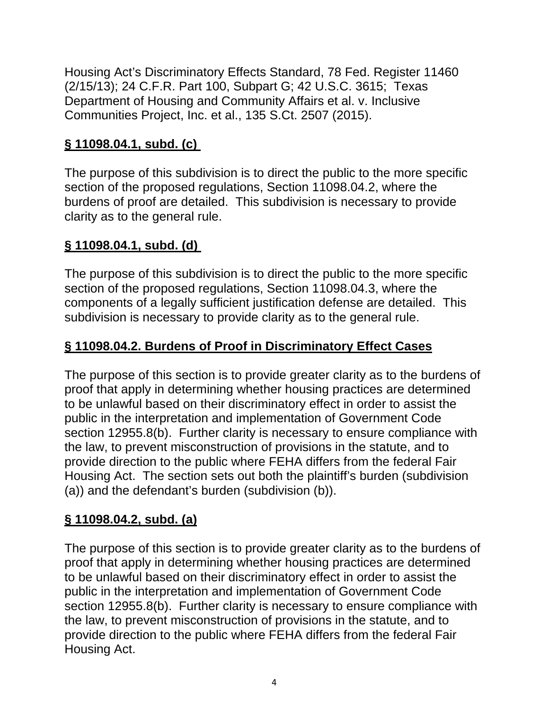Housing Act's Discriminatory Effects Standard, 78 Fed. Register 11460 (2/15/13); 24 C.F.R. Part 100, Subpart G; 42 U.S.C. 3615; Texas Department of Housing and Community Affairs et al. v. Inclusive Communities Project, Inc. et al., 135 S.Ct. 2507 (2015).

# **§ 11098.04.1, subd. (c)**

The purpose of this subdivision is to direct the public to the more specific section of the proposed regulations, Section 11098.04.2, where the burdens of proof are detailed. This subdivision is necessary to provide clarity as to the general rule.

# **§ 11098.04.1, subd. (d)**

The purpose of this subdivision is to direct the public to the more specific section of the proposed regulations, Section 11098.04.3, where the components of a legally sufficient justification defense are detailed. This subdivision is necessary to provide clarity as to the general rule.

# **§ 11098.04.2. Burdens of Proof in Discriminatory Effect Cases**

The purpose of this section is to provide greater clarity as to the burdens of proof that apply in determining whether housing practices are determined to be unlawful based on their discriminatory effect in order to assist the public in the interpretation and implementation of Government Code section 12955.8(b). Further clarity is necessary to ensure compliance with the law, to prevent misconstruction of provisions in the statute, and to provide direction to the public where FEHA differs from the federal Fair Housing Act. The section sets out both the plaintiff's burden (subdivision (a)) and the defendant's burden (subdivision (b)).

# **§ 11098.04.2, subd. (a)**

The purpose of this section is to provide greater clarity as to the burdens of proof that apply in determining whether housing practices are determined to be unlawful based on their discriminatory effect in order to assist the public in the interpretation and implementation of Government Code section 12955.8(b). Further clarity is necessary to ensure compliance with the law, to prevent misconstruction of provisions in the statute, and to provide direction to the public where FEHA differs from the federal Fair Housing Act.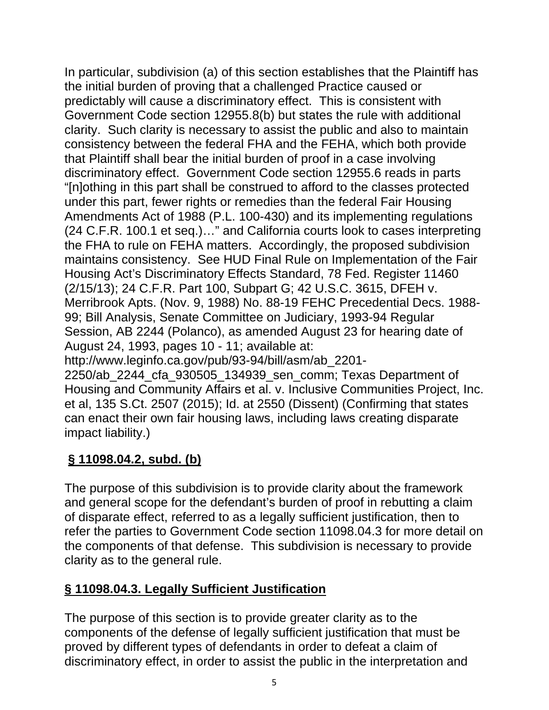In particular, subdivision (a) of this section establishes that the Plaintiff has the initial burden of proving that a challenged Practice caused or predictably will cause a discriminatory effect. This is consistent with Government Code section 12955.8(b) but states the rule with additional clarity. Such clarity is necessary to assist the public and also to maintain consistency between the federal FHA and the FEHA, which both provide that Plaintiff shall bear the initial burden of proof in a case involving discriminatory effect. Government Code section 12955.6 reads in parts "[n]othing in this part shall be construed to afford to the classes protected under this part, fewer rights or remedies than the federal Fair Housing Amendments Act of 1988 (P.L. 100-430) and its implementing regulations (24 C.F.R. 100.1 et seq.)…" and California courts look to cases interpreting the FHA to rule on FEHA matters. Accordingly, the proposed subdivision maintains consistency. See HUD Final Rule on Implementation of the Fair Housing Act's Discriminatory Effects Standard, 78 Fed. Register 11460 (2/15/13); 24 C.F.R. Part 100, Subpart G; 42 U.S.C. 3615, DFEH v. Merribrook Apts. (Nov. 9, 1988) No. 88-19 FEHC Precedential Decs. 1988- 99; Bill Analysis, Senate Committee on Judiciary, 1993-94 Regular Session, AB 2244 (Polanco), as amended August 23 for hearing date of August 24, 1993, pages 10 - 11; available at: http://www.leginfo.ca.gov/pub/93-94/bill/asm/ab\_2201- 2250/ab\_2244\_cfa\_930505\_134939\_sen\_comm; Texas Department of

Housing and Community Affairs et al. v. Inclusive Communities Project, Inc. et al, 135 S.Ct. 2507 (2015); Id. at 2550 (Dissent) (Confirming that states can enact their own fair housing laws, including laws creating disparate impact liability.)

# **§ 11098.04.2, subd. (b)**

The purpose of this subdivision is to provide clarity about the framework and general scope for the defendant's burden of proof in rebutting a claim of disparate effect, referred to as a legally sufficient justification, then to refer the parties to Government Code section 11098.04.3 for more detail on the components of that defense. This subdivision is necessary to provide clarity as to the general rule.

# **§ 11098.04.3. Legally Sufficient Justification**

The purpose of this section is to provide greater clarity as to the components of the defense of legally sufficient justification that must be proved by different types of defendants in order to defeat a claim of discriminatory effect, in order to assist the public in the interpretation and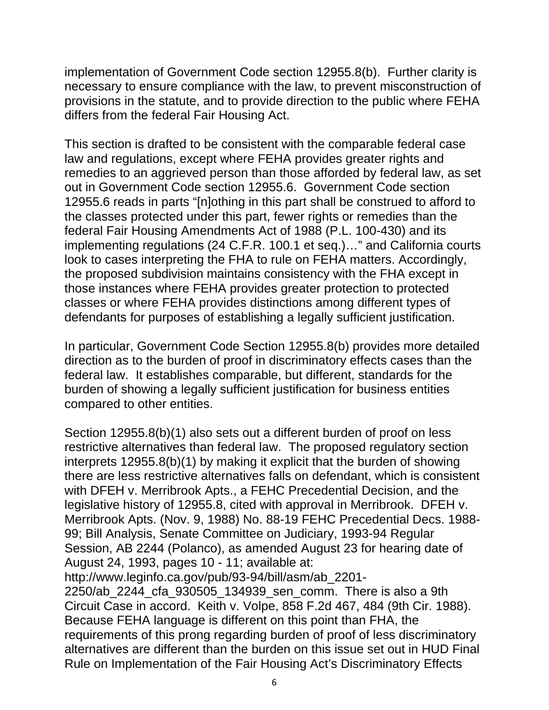implementation of Government Code section 12955.8(b). Further clarity is necessary to ensure compliance with the law, to prevent misconstruction of provisions in the statute, and to provide direction to the public where FEHA differs from the federal Fair Housing Act.

This section is drafted to be consistent with the comparable federal case law and regulations, except where FEHA provides greater rights and remedies to an aggrieved person than those afforded by federal law, as set out in Government Code section 12955.6. Government Code section 12955.6 reads in parts "[n]othing in this part shall be construed to afford to the classes protected under this part, fewer rights or remedies than the federal Fair Housing Amendments Act of 1988 (P.L. 100-430) and its implementing regulations (24 C.F.R. 100.1 et seq.)…" and California courts look to cases interpreting the FHA to rule on FEHA matters. Accordingly, the proposed subdivision maintains consistency with the FHA except in those instances where FEHA provides greater protection to protected classes or where FEHA provides distinctions among different types of defendants for purposes of establishing a legally sufficient justification.

In particular, Government Code Section 12955.8(b) provides more detailed direction as to the burden of proof in discriminatory effects cases than the federal law. It establishes comparable, but different, standards for the burden of showing a legally sufficient justification for business entities compared to other entities.

Section 12955.8(b)(1) also sets out a different burden of proof on less restrictive alternatives than federal law. The proposed regulatory section interprets 12955.8(b)(1) by making it explicit that the burden of showing there are less restrictive alternatives falls on defendant, which is consistent with DFEH v. Merribrook Apts., a FEHC Precedential Decision, and the legislative history of 12955.8, cited with approval in Merribrook. DFEH v. Merribrook Apts. (Nov. 9, 1988) No. 88-19 FEHC Precedential Decs. 1988- 99; Bill Analysis, Senate Committee on Judiciary, 1993-94 Regular Session, AB 2244 (Polanco), as amended August 23 for hearing date of August 24, 1993, pages 10 - 11; available at:

```
http://www.leginfo.ca.gov/pub/93-94/bill/asm/ab_2201-
```
2250/ab\_2244\_cfa\_930505\_134939\_sen\_comm. There is also a 9th Circuit Case in accord. Keith v. Volpe, 858 F.2d 467, 484 (9th Cir. 1988). Because FEHA language is different on this point than FHA, the requirements of this prong regarding burden of proof of less discriminatory alternatives are different than the burden on this issue set out in HUD Final Rule on Implementation of the Fair Housing Act's Discriminatory Effects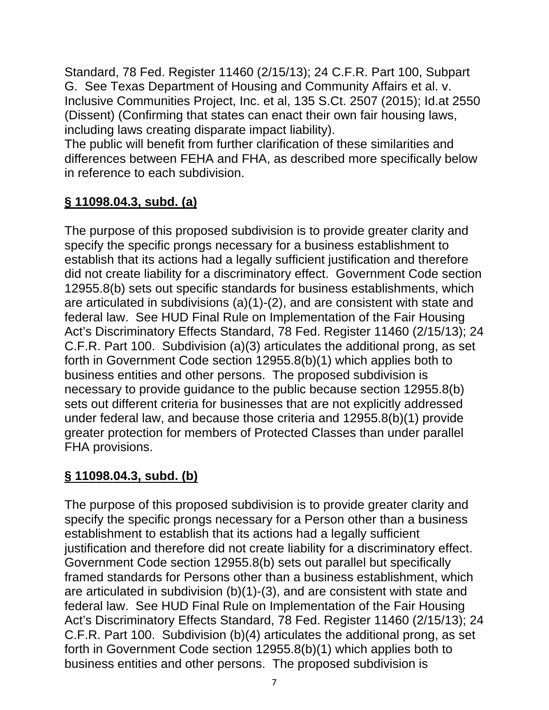Standard, 78 Fed. Register 11460 (2/15/13); 24 C.F.R. Part 100, Subpart G. See Texas Department of Housing and Community Affairs et al. v. Inclusive Communities Project, Inc. et al, 135 S.Ct. 2507 (2015); Id.at 2550 (Dissent) (Confirming that states can enact their own fair housing laws, including laws creating disparate impact liability).

The public will benefit from further clarification of these similarities and differences between FEHA and FHA, as described more specifically below in reference to each subdivision.

# **§ 11098.04.3, subd. (a)**

The purpose of this proposed subdivision is to provide greater clarity and specify the specific prongs necessary for a business establishment to establish that its actions had a legally sufficient justification and therefore did not create liability for a discriminatory effect. Government Code section 12955.8(b) sets out specific standards for business establishments, which are articulated in subdivisions (a)(1)-(2), and are consistent with state and federal law. See HUD Final Rule on Implementation of the Fair Housing Act's Discriminatory Effects Standard, 78 Fed. Register 11460 (2/15/13); 24 C.F.R. Part 100. Subdivision (a)(3) articulates the additional prong, as set forth in Government Code section 12955.8(b)(1) which applies both to business entities and other persons. The proposed subdivision is necessary to provide guidance to the public because section 12955.8(b) sets out different criteria for businesses that are not explicitly addressed under federal law, and because those criteria and 12955.8(b)(1) provide greater protection for members of Protected Classes than under parallel FHA provisions.

# **§ 11098.04.3, subd. (b)**

The purpose of this proposed subdivision is to provide greater clarity and specify the specific prongs necessary for a Person other than a business establishment to establish that its actions had a legally sufficient justification and therefore did not create liability for a discriminatory effect. Government Code section 12955.8(b) sets out parallel but specifically framed standards for Persons other than a business establishment, which are articulated in subdivision (b)(1)-(3), and are consistent with state and federal law. See HUD Final Rule on Implementation of the Fair Housing Act's Discriminatory Effects Standard, 78 Fed. Register 11460 (2/15/13); 24 C.F.R. Part 100. Subdivision (b)(4) articulates the additional prong, as set forth in Government Code section 12955.8(b)(1) which applies both to business entities and other persons. The proposed subdivision is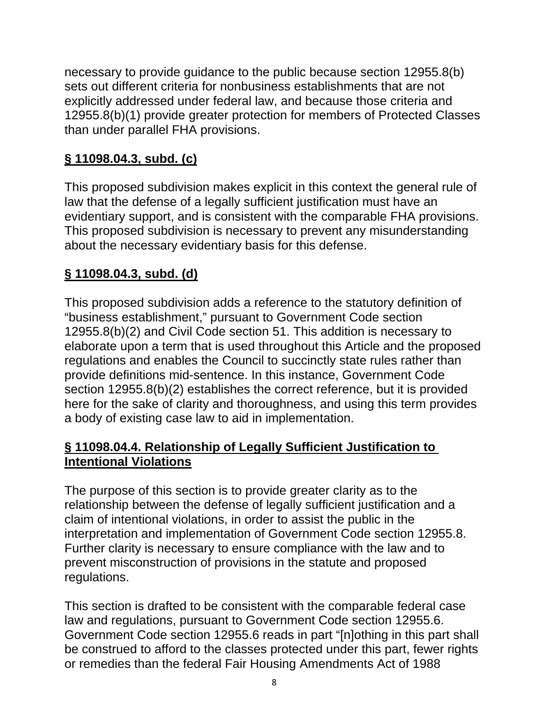necessary to provide guidance to the public because section 12955.8(b) sets out different criteria for nonbusiness establishments that are not explicitly addressed under federal law, and because those criteria and 12955.8(b)(1) provide greater protection for members of Protected Classes than under parallel FHA provisions.

# **§ 11098.04.3, subd. (c)**

This proposed subdivision makes explicit in this context the general rule of law that the defense of a legally sufficient justification must have an evidentiary support, and is consistent with the comparable FHA provisions. This proposed subdivision is necessary to prevent any misunderstanding about the necessary evidentiary basis for this defense.

## **§ 11098.04.3, subd. (d)**

This proposed subdivision adds a reference to the statutory definition of "business establishment," pursuant to Government Code section 12955.8(b)(2) and Civil Code section 51. This addition is necessary to elaborate upon a term that is used throughout this Article and the proposed regulations and enables the Council to succinctly state rules rather than provide definitions mid-sentence. In this instance, Government Code section 12955.8(b)(2) establishes the correct reference, but it is provided here for the sake of clarity and thoroughness, and using this term provides a body of existing case law to aid in implementation.

#### **§ 11098.04.4. Relationship of Legally Sufficient Justification to Intentional Violations**

The purpose of this section is to provide greater clarity as to the relationship between the defense of legally sufficient justification and a claim of intentional violations, in order to assist the public in the interpretation and implementation of Government Code section 12955.8. Further clarity is necessary to ensure compliance with the law and to prevent misconstruction of provisions in the statute and proposed regulations.

This section is drafted to be consistent with the comparable federal case law and regulations, pursuant to Government Code section 12955.6. Government Code section 12955.6 reads in part "[n]othing in this part shall be construed to afford to the classes protected under this part, fewer rights or remedies than the federal Fair Housing Amendments Act of 1988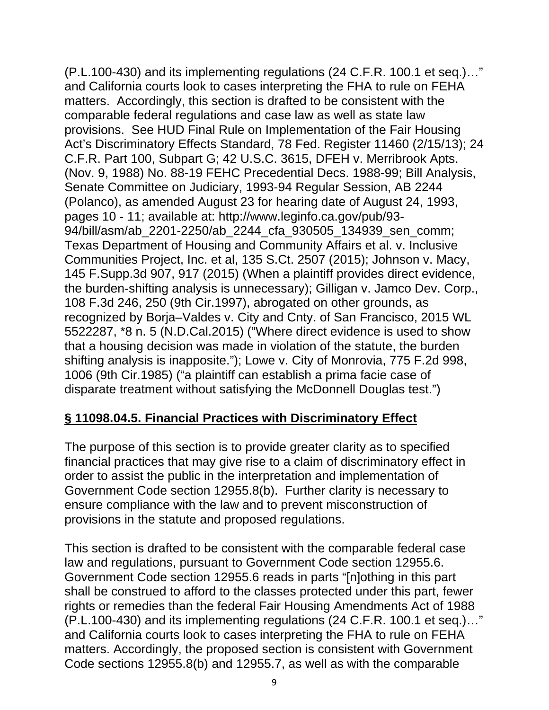(P.L.100-430) and its implementing regulations (24 C.F.R. 100.1 et seq.)…" and California courts look to cases interpreting the FHA to rule on FEHA matters. Accordingly, this section is drafted to be consistent with the comparable federal regulations and case law as well as state law provisions. See HUD Final Rule on Implementation of the Fair Housing Act's Discriminatory Effects Standard, 78 Fed. Register 11460 (2/15/13); 24 C.F.R. Part 100, Subpart G; 42 U.S.C. 3615, DFEH v. Merribrook Apts. (Nov. 9, 1988) No. 88-19 FEHC Precedential Decs. 1988-99; Bill Analysis, Senate Committee on Judiciary, 1993-94 Regular Session, AB 2244 (Polanco), as amended August 23 for hearing date of August 24, 1993, pages 10 - 11; available at: http://www.leginfo.ca.gov/pub/93- 94/bill/asm/ab\_2201-2250/ab\_2244\_cfa\_930505\_134939\_sen\_comm; Texas Department of Housing and Community Affairs et al. v. Inclusive Communities Project, Inc. et al, 135 S.Ct. 2507 (2015); Johnson v. Macy, 145 F.Supp.3d 907, 917 (2015) (When a plaintiff provides direct evidence, the burden-shifting analysis is unnecessary); Gilligan v. Jamco Dev. Corp., 108 F.3d 246, 250 (9th Cir.1997), abrogated on other grounds, as recognized by Borja–Valdes v. City and Cnty. of San Francisco, 2015 WL 5522287, \*8 n. 5 (N.D.Cal.2015) ("Where direct evidence is used to show that a housing decision was made in violation of the statute, the burden shifting analysis is inapposite."); Lowe v. City of Monrovia, 775 F.2d 998, 1006 (9th Cir.1985) ("a plaintiff can establish a prima facie case of disparate treatment without satisfying the McDonnell Douglas test.")

#### **§ 11098.04.5. Financial Practices with Discriminatory Effect**

The purpose of this section is to provide greater clarity as to specified financial practices that may give rise to a claim of discriminatory effect in order to assist the public in the interpretation and implementation of Government Code section 12955.8(b). Further clarity is necessary to ensure compliance with the law and to prevent misconstruction of provisions in the statute and proposed regulations.

This section is drafted to be consistent with the comparable federal case law and regulations, pursuant to Government Code section 12955.6. Government Code section 12955.6 reads in parts "[n]othing in this part shall be construed to afford to the classes protected under this part, fewer rights or remedies than the federal Fair Housing Amendments Act of 1988 (P.L.100-430) and its implementing regulations (24 C.F.R. 100.1 et seq.)…" and California courts look to cases interpreting the FHA to rule on FEHA matters. Accordingly, the proposed section is consistent with Government Code sections 12955.8(b) and 12955.7, as well as with the comparable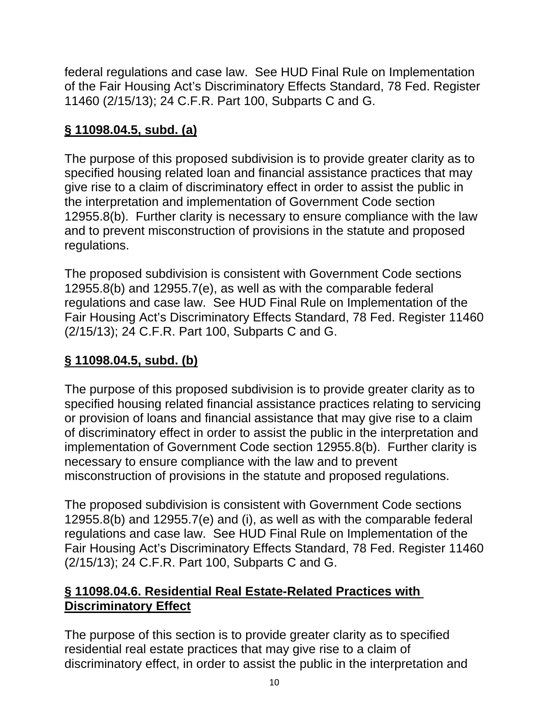federal regulations and case law. See HUD Final Rule on Implementation of the Fair Housing Act's Discriminatory Effects Standard, 78 Fed. Register 11460 (2/15/13); 24 C.F.R. Part 100, Subparts C and G.

# **§ 11098.04.5, subd. (a)**

The purpose of this proposed subdivision is to provide greater clarity as to specified housing related loan and financial assistance practices that may give rise to a claim of discriminatory effect in order to assist the public in the interpretation and implementation of Government Code section 12955.8(b). Further clarity is necessary to ensure compliance with the law and to prevent misconstruction of provisions in the statute and proposed regulations.

The proposed subdivision is consistent with Government Code sections 12955.8(b) and 12955.7(e), as well as with the comparable federal regulations and case law. See HUD Final Rule on Implementation of the Fair Housing Act's Discriminatory Effects Standard, 78 Fed. Register 11460 (2/15/13); 24 C.F.R. Part 100, Subparts C and G.

# **§ 11098.04.5, subd. (b)**

The purpose of this proposed subdivision is to provide greater clarity as to specified housing related financial assistance practices relating to servicing or provision of loans and financial assistance that may give rise to a claim of discriminatory effect in order to assist the public in the interpretation and implementation of Government Code section 12955.8(b). Further clarity is necessary to ensure compliance with the law and to prevent misconstruction of provisions in the statute and proposed regulations.

The proposed subdivision is consistent with Government Code sections 12955.8(b) and 12955.7(e) and (i), as well as with the comparable federal regulations and case law. See HUD Final Rule on Implementation of the Fair Housing Act's Discriminatory Effects Standard, 78 Fed. Register 11460 (2/15/13); 24 C.F.R. Part 100, Subparts C and G.

## **§ 11098.04.6. Residential Real Estate-Related Practices with Discriminatory Effect**

The purpose of this section is to provide greater clarity as to specified residential real estate practices that may give rise to a claim of discriminatory effect, in order to assist the public in the interpretation and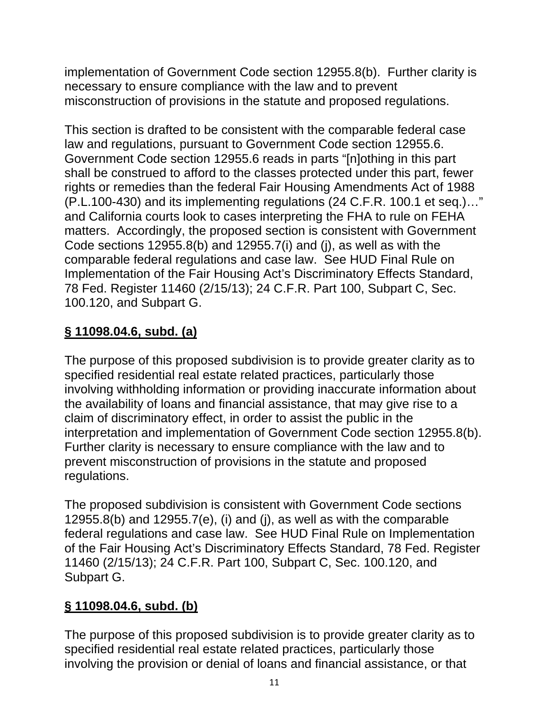implementation of Government Code section 12955.8(b). Further clarity is necessary to ensure compliance with the law and to prevent misconstruction of provisions in the statute and proposed regulations.

This section is drafted to be consistent with the comparable federal case law and regulations, pursuant to Government Code section 12955.6. Government Code section 12955.6 reads in parts "[n]othing in this part shall be construed to afford to the classes protected under this part, fewer rights or remedies than the federal Fair Housing Amendments Act of 1988 (P.L.100-430) and its implementing regulations (24 C.F.R. 100.1 et seq.)…" and California courts look to cases interpreting the FHA to rule on FEHA matters. Accordingly, the proposed section is consistent with Government Code sections 12955.8(b) and 12955.7(i) and (j), as well as with the comparable federal regulations and case law. See HUD Final Rule on Implementation of the Fair Housing Act's Discriminatory Effects Standard, 78 Fed. Register 11460 (2/15/13); 24 C.F.R. Part 100, Subpart C, Sec. 100.120, and Subpart G.

# **§ 11098.04.6, subd. (a)**

The purpose of this proposed subdivision is to provide greater clarity as to specified residential real estate related practices, particularly those involving withholding information or providing inaccurate information about the availability of loans and financial assistance, that may give rise to a claim of discriminatory effect, in order to assist the public in the interpretation and implementation of Government Code section 12955.8(b). Further clarity is necessary to ensure compliance with the law and to prevent misconstruction of provisions in the statute and proposed regulations.

The proposed subdivision is consistent with Government Code sections 12955.8(b) and 12955.7(e), (i) and (j), as well as with the comparable federal regulations and case law. See HUD Final Rule on Implementation of the Fair Housing Act's Discriminatory Effects Standard, 78 Fed. Register 11460 (2/15/13); 24 C.F.R. Part 100, Subpart C, Sec. 100.120, and Subpart G.

# **§ 11098.04.6, subd. (b)**

The purpose of this proposed subdivision is to provide greater clarity as to specified residential real estate related practices, particularly those involving the provision or denial of loans and financial assistance, or that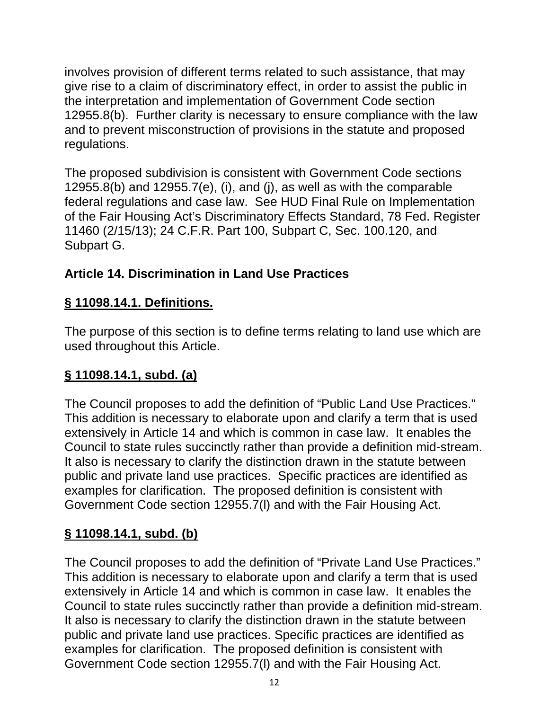involves provision of different terms related to such assistance, that may give rise to a claim of discriminatory effect, in order to assist the public in the interpretation and implementation of Government Code section 12955.8(b). Further clarity is necessary to ensure compliance with the law and to prevent misconstruction of provisions in the statute and proposed regulations.

The proposed subdivision is consistent with Government Code sections 12955.8(b) and 12955.7(e), (i), and (j), as well as with the comparable federal regulations and case law. See HUD Final Rule on Implementation of the Fair Housing Act's Discriminatory Effects Standard, 78 Fed. Register 11460 (2/15/13); 24 C.F.R. Part 100, Subpart C, Sec. 100.120, and Subpart G.

# **Article 14. Discrimination in Land Use Practices**

# **§ 11098.14.1. Definitions.**

The purpose of this section is to define terms relating to land use which are used throughout this Article.

# **§ 11098.14.1, subd. (a)**

The Council proposes to add the definition of "Public Land Use Practices." This addition is necessary to elaborate upon and clarify a term that is used extensively in Article 14 and which is common in case law. It enables the Council to state rules succinctly rather than provide a definition mid-stream. It also is necessary to clarify the distinction drawn in the statute between public and private land use practices. Specific practices are identified as examples for clarification. The proposed definition is consistent with Government Code section 12955.7(l) and with the Fair Housing Act.

# **§ 11098.14.1, subd. (b)**

The Council proposes to add the definition of "Private Land Use Practices." This addition is necessary to elaborate upon and clarify a term that is used extensively in Article 14 and which is common in case law. It enables the Council to state rules succinctly rather than provide a definition mid-stream. It also is necessary to clarify the distinction drawn in the statute between public and private land use practices. Specific practices are identified as examples for clarification. The proposed definition is consistent with Government Code section 12955.7(l) and with the Fair Housing Act.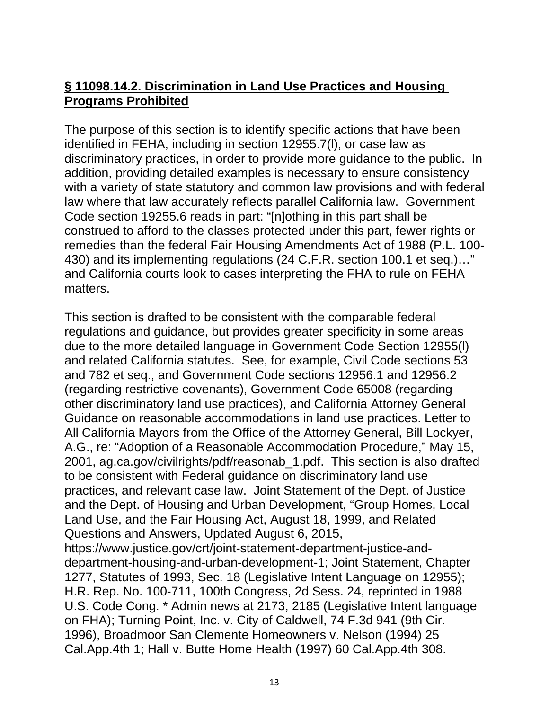#### **§ 11098.14.2. Discrimination in Land Use Practices and Housing Programs Prohibited**

The purpose of this section is to identify specific actions that have been identified in FEHA, including in section 12955.7(l), or case law as discriminatory practices, in order to provide more guidance to the public. In addition, providing detailed examples is necessary to ensure consistency with a variety of state statutory and common law provisions and with federal law where that law accurately reflects parallel California law. Government Code section 19255.6 reads in part: "[n]othing in this part shall be construed to afford to the classes protected under this part, fewer rights or remedies than the federal Fair Housing Amendments Act of 1988 (P.L. 100- 430) and its implementing regulations (24 C.F.R. section 100.1 et seq.)…" and California courts look to cases interpreting the FHA to rule on FEHA matters.

This section is drafted to be consistent with the comparable federal regulations and guidance, but provides greater specificity in some areas due to the more detailed language in Government Code Section 12955(l) and related California statutes. See, for example, Civil Code sections 53 and 782 et seq., and Government Code sections 12956.1 and 12956.2 (regarding restrictive covenants), Government Code 65008 (regarding other discriminatory land use practices), and California Attorney General Guidance on reasonable accommodations in land use practices. Letter to All California Mayors from the Office of the Attorney General, Bill Lockyer, A.G., re: "Adoption of a Reasonable Accommodation Procedure," May 15, 2001, ag.ca.gov/civilrights/pdf/reasonab\_1.pdf. This section is also drafted to be consistent with Federal guidance on discriminatory land use practices, and relevant case law. Joint Statement of the Dept. of Justice and the Dept. of Housing and Urban Development, "Group Homes, Local Land Use, and the Fair Housing Act, August 18, 1999, and Related Questions and Answers, Updated August 6, 2015, https://www.justice.gov/crt/joint-statement-department-justice-anddepartment-housing-and-urban-development-1; Joint Statement, Chapter 1277, Statutes of 1993, Sec. 18 (Legislative Intent Language on 12955); H.R. Rep. No. 100-711, 100th Congress, 2d Sess. 24, reprinted in 1988 U.S. Code Cong. \* Admin news at 2173, 2185 (Legislative Intent language on FHA); Turning Point, Inc. v. City of Caldwell, 74 F.3d 941 (9th Cir. 1996), Broadmoor San Clemente Homeowners v. Nelson (1994) 25 Cal.App.4th 1; Hall v. Butte Home Health (1997) 60 Cal.App.4th 308.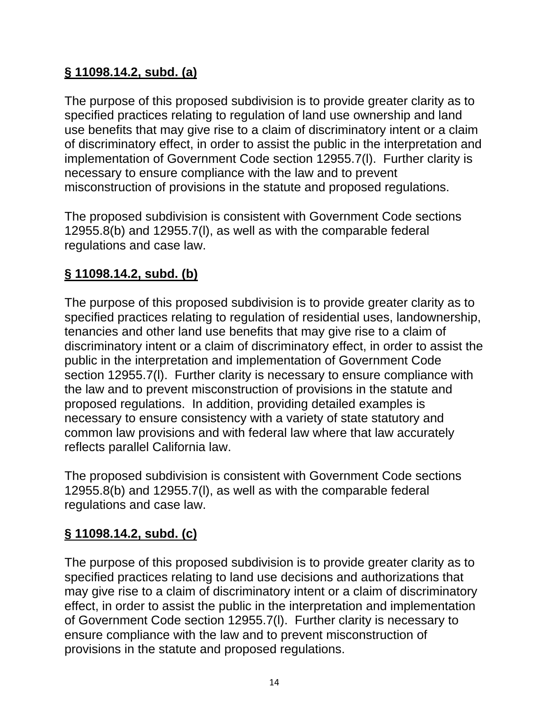# **§ 11098.14.2, subd. (a)**

The purpose of this proposed subdivision is to provide greater clarity as to specified practices relating to regulation of land use ownership and land use benefits that may give rise to a claim of discriminatory intent or a claim of discriminatory effect, in order to assist the public in the interpretation and implementation of Government Code section 12955.7(l). Further clarity is necessary to ensure compliance with the law and to prevent misconstruction of provisions in the statute and proposed regulations.

The proposed subdivision is consistent with Government Code sections 12955.8(b) and 12955.7(l), as well as with the comparable federal regulations and case law.

## **§ 11098.14.2, subd. (b)**

The purpose of this proposed subdivision is to provide greater clarity as to specified practices relating to regulation of residential uses, landownership, tenancies and other land use benefits that may give rise to a claim of discriminatory intent or a claim of discriminatory effect, in order to assist the public in the interpretation and implementation of Government Code section 12955.7(l). Further clarity is necessary to ensure compliance with the law and to prevent misconstruction of provisions in the statute and proposed regulations. In addition, providing detailed examples is necessary to ensure consistency with a variety of state statutory and common law provisions and with federal law where that law accurately reflects parallel California law.

The proposed subdivision is consistent with Government Code sections 12955.8(b) and 12955.7(l), as well as with the comparable federal regulations and case law.

# **§ 11098.14.2, subd. (c)**

The purpose of this proposed subdivision is to provide greater clarity as to specified practices relating to land use decisions and authorizations that may give rise to a claim of discriminatory intent or a claim of discriminatory effect, in order to assist the public in the interpretation and implementation of Government Code section 12955.7(l). Further clarity is necessary to ensure compliance with the law and to prevent misconstruction of provisions in the statute and proposed regulations.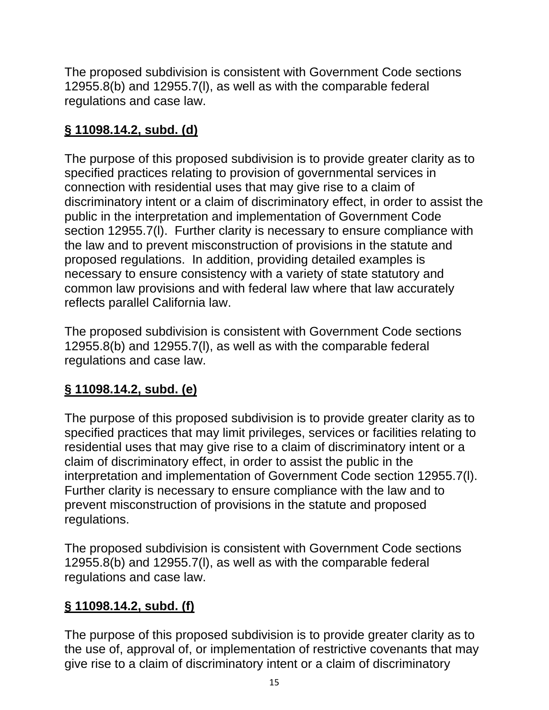The proposed subdivision is consistent with Government Code sections 12955.8(b) and 12955.7(l), as well as with the comparable federal regulations and case law.

# **§ 11098.14.2, subd. (d)**

The purpose of this proposed subdivision is to provide greater clarity as to specified practices relating to provision of governmental services in connection with residential uses that may give rise to a claim of discriminatory intent or a claim of discriminatory effect, in order to assist the public in the interpretation and implementation of Government Code section 12955.7(l). Further clarity is necessary to ensure compliance with the law and to prevent misconstruction of provisions in the statute and proposed regulations. In addition, providing detailed examples is necessary to ensure consistency with a variety of state statutory and common law provisions and with federal law where that law accurately reflects parallel California law.

The proposed subdivision is consistent with Government Code sections 12955.8(b) and 12955.7(l), as well as with the comparable federal regulations and case law.

# **§ 11098.14.2, subd. (e)**

The purpose of this proposed subdivision is to provide greater clarity as to specified practices that may limit privileges, services or facilities relating to residential uses that may give rise to a claim of discriminatory intent or a claim of discriminatory effect, in order to assist the public in the interpretation and implementation of Government Code section 12955.7(l). Further clarity is necessary to ensure compliance with the law and to prevent misconstruction of provisions in the statute and proposed regulations.

The proposed subdivision is consistent with Government Code sections 12955.8(b) and 12955.7(l), as well as with the comparable federal regulations and case law.

# **§ 11098.14.2, subd. (f)**

The purpose of this proposed subdivision is to provide greater clarity as to the use of, approval of, or implementation of restrictive covenants that may give rise to a claim of discriminatory intent or a claim of discriminatory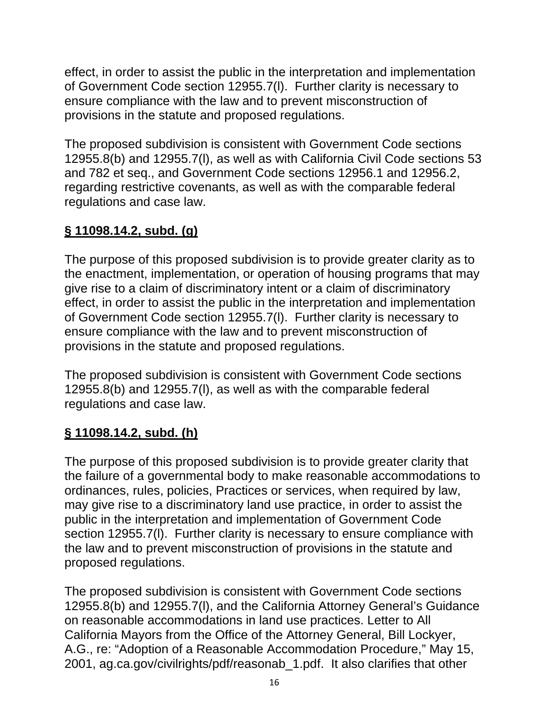effect, in order to assist the public in the interpretation and implementation of Government Code section 12955.7(l). Further clarity is necessary to ensure compliance with the law and to prevent misconstruction of provisions in the statute and proposed regulations.

The proposed subdivision is consistent with Government Code sections 12955.8(b) and 12955.7(l), as well as with California Civil Code sections 53 and 782 et seq., and Government Code sections 12956.1 and 12956.2, regarding restrictive covenants, as well as with the comparable federal regulations and case law.

# **§ 11098.14.2, subd. (g)**

The purpose of this proposed subdivision is to provide greater clarity as to the enactment, implementation, or operation of housing programs that may give rise to a claim of discriminatory intent or a claim of discriminatory effect, in order to assist the public in the interpretation and implementation of Government Code section 12955.7(l). Further clarity is necessary to ensure compliance with the law and to prevent misconstruction of provisions in the statute and proposed regulations.

The proposed subdivision is consistent with Government Code sections 12955.8(b) and 12955.7(l), as well as with the comparable federal regulations and case law.

# **§ 11098.14.2, subd. (h)**

The purpose of this proposed subdivision is to provide greater clarity that the failure of a governmental body to make reasonable accommodations to ordinances, rules, policies, Practices or services, when required by law, may give rise to a discriminatory land use practice, in order to assist the public in the interpretation and implementation of Government Code section 12955.7(l). Further clarity is necessary to ensure compliance with the law and to prevent misconstruction of provisions in the statute and proposed regulations.

The proposed subdivision is consistent with Government Code sections 12955.8(b) and 12955.7(l), and the California Attorney General's Guidance on reasonable accommodations in land use practices. Letter to All California Mayors from the Office of the Attorney General, Bill Lockyer, A.G., re: "Adoption of a Reasonable Accommodation Procedure," May 15, 2001, ag.ca.gov/civilrights/pdf/reasonab\_1.pdf. It also clarifies that other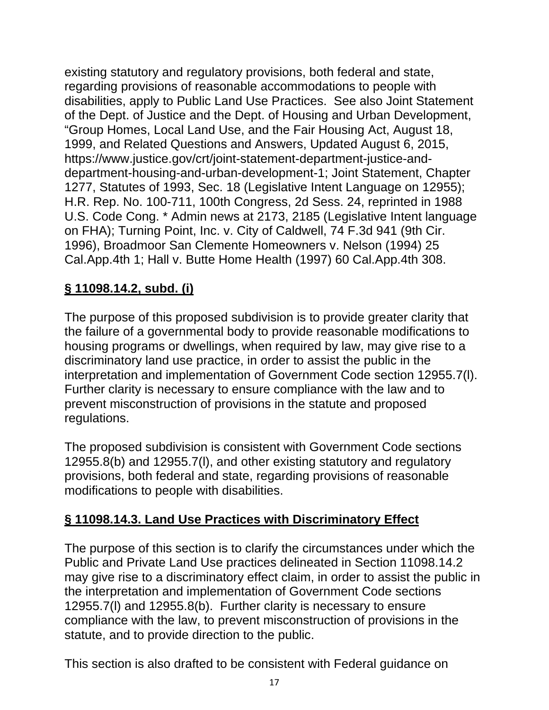existing statutory and regulatory provisions, both federal and state, regarding provisions of reasonable accommodations to people with disabilities, apply to Public Land Use Practices. See also Joint Statement of the Dept. of Justice and the Dept. of Housing and Urban Development, "Group Homes, Local Land Use, and the Fair Housing Act, August 18, 1999, and Related Questions and Answers, Updated August 6, 2015, https://www.justice.gov/crt/joint-statement-department-justice-anddepartment-housing-and-urban-development-1; Joint Statement, Chapter 1277, Statutes of 1993, Sec. 18 (Legislative Intent Language on 12955); H.R. Rep. No. 100-711, 100th Congress, 2d Sess. 24, reprinted in 1988 U.S. Code Cong. \* Admin news at 2173, 2185 (Legislative Intent language on FHA); Turning Point, Inc. v. City of Caldwell, 74 F.3d 941 (9th Cir. 1996), Broadmoor San Clemente Homeowners v. Nelson (1994) 25 Cal.App.4th 1; Hall v. Butte Home Health (1997) 60 Cal.App.4th 308.

## **§ 11098.14.2, subd. (i)**

The purpose of this proposed subdivision is to provide greater clarity that the failure of a governmental body to provide reasonable modifications to housing programs or dwellings, when required by law, may give rise to a discriminatory land use practice, in order to assist the public in the interpretation and implementation of Government Code section 12955.7(l). Further clarity is necessary to ensure compliance with the law and to prevent misconstruction of provisions in the statute and proposed regulations.

The proposed subdivision is consistent with Government Code sections 12955.8(b) and 12955.7(l), and other existing statutory and regulatory provisions, both federal and state, regarding provisions of reasonable modifications to people with disabilities.

# **§ 11098.14.3. Land Use Practices with Discriminatory Effect**

The purpose of this section is to clarify the circumstances under which the Public and Private Land Use practices delineated in Section 11098.14.2 may give rise to a discriminatory effect claim, in order to assist the public in the interpretation and implementation of Government Code sections 12955.7(l) and 12955.8(b). Further clarity is necessary to ensure compliance with the law, to prevent misconstruction of provisions in the statute, and to provide direction to the public.

This section is also drafted to be consistent with Federal guidance on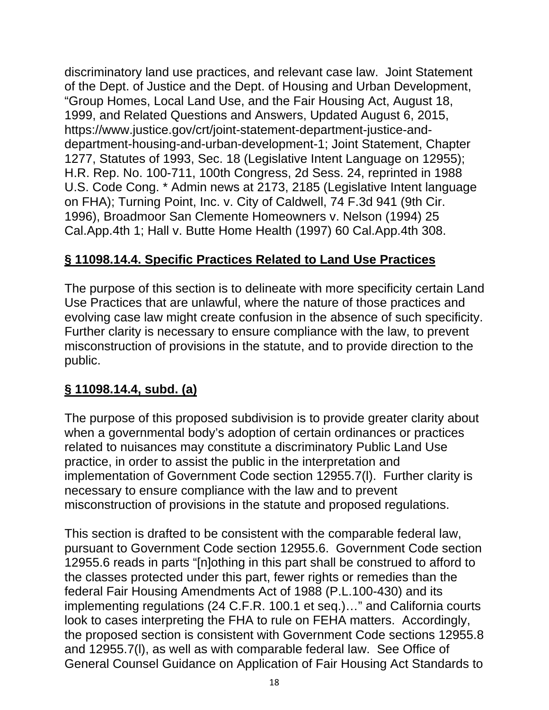discriminatory land use practices, and relevant case law. Joint Statement of the Dept. of Justice and the Dept. of Housing and Urban Development, "Group Homes, Local Land Use, and the Fair Housing Act, August 18, 1999, and Related Questions and Answers, Updated August 6, 2015, https://www.justice.gov/crt/joint-statement-department-justice-anddepartment-housing-and-urban-development-1; Joint Statement, Chapter 1277, Statutes of 1993, Sec. 18 (Legislative Intent Language on 12955); H.R. Rep. No. 100-711, 100th Congress, 2d Sess. 24, reprinted in 1988 U.S. Code Cong. \* Admin news at 2173, 2185 (Legislative Intent language on FHA); Turning Point, Inc. v. City of Caldwell, 74 F.3d 941 (9th Cir. 1996), Broadmoor San Clemente Homeowners v. Nelson (1994) 25 Cal.App.4th 1; Hall v. Butte Home Health (1997) 60 Cal.App.4th 308.

## **§ 11098.14.4. Specific Practices Related to Land Use Practices**

The purpose of this section is to delineate with more specificity certain Land Use Practices that are unlawful, where the nature of those practices and evolving case law might create confusion in the absence of such specificity. Further clarity is necessary to ensure compliance with the law, to prevent misconstruction of provisions in the statute, and to provide direction to the public.

#### **§ 11098.14.4, subd. (a)**

The purpose of this proposed subdivision is to provide greater clarity about when a governmental body's adoption of certain ordinances or practices related to nuisances may constitute a discriminatory Public Land Use practice, in order to assist the public in the interpretation and implementation of Government Code section 12955.7(l). Further clarity is necessary to ensure compliance with the law and to prevent misconstruction of provisions in the statute and proposed regulations.

This section is drafted to be consistent with the comparable federal law, pursuant to Government Code section 12955.6. Government Code section 12955.6 reads in parts "[n]othing in this part shall be construed to afford to the classes protected under this part, fewer rights or remedies than the federal Fair Housing Amendments Act of 1988 (P.L.100-430) and its implementing regulations (24 C.F.R. 100.1 et seq.)…" and California courts look to cases interpreting the FHA to rule on FEHA matters. Accordingly, the proposed section is consistent with Government Code sections 12955.8 and 12955.7(l), as well as with comparable federal law. See Office of General Counsel Guidance on Application of Fair Housing Act Standards to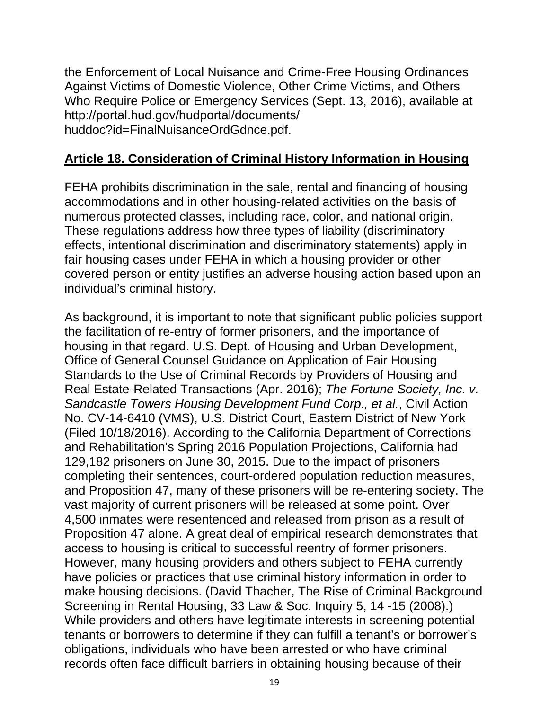the Enforcement of Local Nuisance and Crime-Free Housing Ordinances Against Victims of Domestic Violence, Other Crime Victims, and Others Who Require Police or Emergency Services (Sept. 13, 2016), available at http://portal.hud.gov/hudportal/documents/ huddoc?id=FinalNuisanceOrdGdnce.pdf.

#### **Article 18. Consideration of Criminal History Information in Housing**

FEHA prohibits discrimination in the sale, rental and financing of housing accommodations and in other housing-related activities on the basis of numerous protected classes, including race, color, and national origin. These regulations address how three types of liability (discriminatory effects, intentional discrimination and discriminatory statements) apply in fair housing cases under FEHA in which a housing provider or other covered person or entity justifies an adverse housing action based upon an individual's criminal history.

As background, it is important to note that significant public policies support the facilitation of re-entry of former prisoners, and the importance of housing in that regard. U.S. Dept. of Housing and Urban Development, Office of General Counsel Guidance on Application of Fair Housing Standards to the Use of Criminal Records by Providers of Housing and Real Estate-Related Transactions (Apr. 2016); *The Fortune Society, Inc. v. Sandcastle Towers Housing Development Fund Corp., et al.*, Civil Action No. CV-14-6410 (VMS), U.S. District Court, Eastern District of New York (Filed 10/18/2016). According to the California Department of Corrections and Rehabilitation's Spring 2016 Population Projections, California had 129,182 prisoners on June 30, 2015. Due to the impact of prisoners completing their sentences, court-ordered population reduction measures, and Proposition 47, many of these prisoners will be re-entering society. The vast majority of current prisoners will be released at some point. Over 4,500 inmates were resentenced and released from prison as a result of Proposition 47 alone. A great deal of empirical research demonstrates that access to housing is critical to successful reentry of former prisoners. However, many housing providers and others subject to FEHA currently have policies or practices that use criminal history information in order to make housing decisions. (David Thacher, The Rise of Criminal Background Screening in Rental Housing, 33 Law & Soc. Inquiry 5, 14 -15 (2008).) While providers and others have legitimate interests in screening potential tenants or borrowers to determine if they can fulfill a tenant's or borrower's obligations, individuals who have been arrested or who have criminal records often face difficult barriers in obtaining housing because of their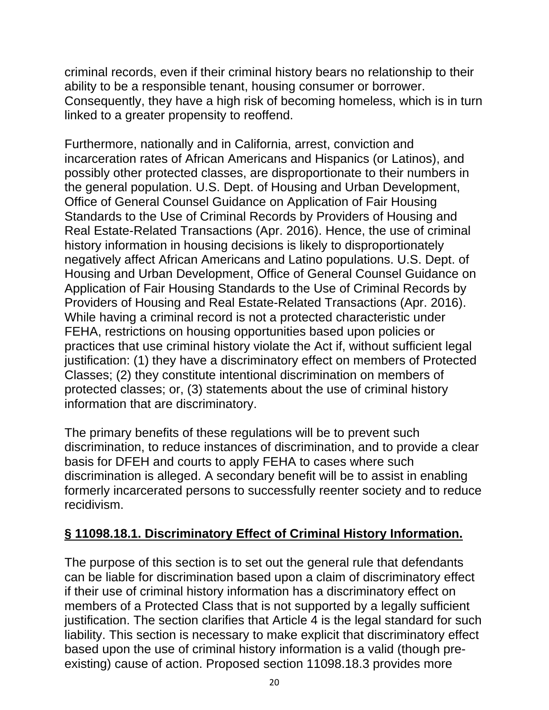criminal records, even if their criminal history bears no relationship to their ability to be a responsible tenant, housing consumer or borrower. Consequently, they have a high risk of becoming homeless, which is in turn linked to a greater propensity to reoffend.

Furthermore, nationally and in California, arrest, conviction and incarceration rates of African Americans and Hispanics (or Latinos), and possibly other protected classes, are disproportionate to their numbers in the general population. U.S. Dept. of Housing and Urban Development, Office of General Counsel Guidance on Application of Fair Housing Standards to the Use of Criminal Records by Providers of Housing and Real Estate-Related Transactions (Apr. 2016). Hence, the use of criminal history information in housing decisions is likely to disproportionately negatively affect African Americans and Latino populations. U.S. Dept. of Housing and Urban Development, Office of General Counsel Guidance on Application of Fair Housing Standards to the Use of Criminal Records by Providers of Housing and Real Estate-Related Transactions (Apr. 2016). While having a criminal record is not a protected characteristic under FEHA, restrictions on housing opportunities based upon policies or practices that use criminal history violate the Act if, without sufficient legal justification: (1) they have a discriminatory effect on members of Protected Classes; (2) they constitute intentional discrimination on members of protected classes; or, (3) statements about the use of criminal history information that are discriminatory.

The primary benefits of these regulations will be to prevent such discrimination, to reduce instances of discrimination, and to provide a clear basis for DFEH and courts to apply FEHA to cases where such discrimination is alleged. A secondary benefit will be to assist in enabling formerly incarcerated persons to successfully reenter society and to reduce recidivism.

#### **§ 11098.18.1. Discriminatory Effect of Criminal History Information.**

The purpose of this section is to set out the general rule that defendants can be liable for discrimination based upon a claim of discriminatory effect if their use of criminal history information has a discriminatory effect on members of a Protected Class that is not supported by a legally sufficient justification. The section clarifies that Article 4 is the legal standard for such liability. This section is necessary to make explicit that discriminatory effect based upon the use of criminal history information is a valid (though preexisting) cause of action. Proposed section 11098.18.3 provides more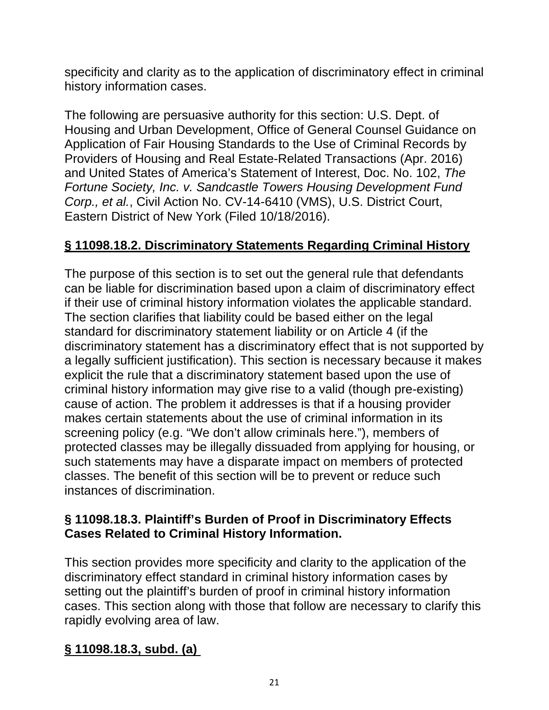specificity and clarity as to the application of discriminatory effect in criminal history information cases.

The following are persuasive authority for this section: U.S. Dept. of Housing and Urban Development, Office of General Counsel Guidance on Application of Fair Housing Standards to the Use of Criminal Records by Providers of Housing and Real Estate-Related Transactions (Apr. 2016) and United States of America's Statement of Interest, Doc. No. 102, *The Fortune Society, Inc. v. Sandcastle Towers Housing Development Fund Corp., et al.*, Civil Action No. CV-14-6410 (VMS), U.S. District Court, Eastern District of New York (Filed 10/18/2016).

## **§ 11098.18.2. Discriminatory Statements Regarding Criminal History**

The purpose of this section is to set out the general rule that defendants can be liable for discrimination based upon a claim of discriminatory effect if their use of criminal history information violates the applicable standard. The section clarifies that liability could be based either on the legal standard for discriminatory statement liability or on Article 4 (if the discriminatory statement has a discriminatory effect that is not supported by a legally sufficient justification). This section is necessary because it makes explicit the rule that a discriminatory statement based upon the use of criminal history information may give rise to a valid (though pre-existing) cause of action. The problem it addresses is that if a housing provider makes certain statements about the use of criminal information in its screening policy (e.g. "We don't allow criminals here."), members of protected classes may be illegally dissuaded from applying for housing, or such statements may have a disparate impact on members of protected classes. The benefit of this section will be to prevent or reduce such instances of discrimination.

#### **§ 11098.18.3. Plaintiff's Burden of Proof in Discriminatory Effects Cases Related to Criminal History Information.**

This section provides more specificity and clarity to the application of the discriminatory effect standard in criminal history information cases by setting out the plaintiff's burden of proof in criminal history information cases. This section along with those that follow are necessary to clarify this rapidly evolving area of law.

# **§ 11098.18.3, subd. (a)**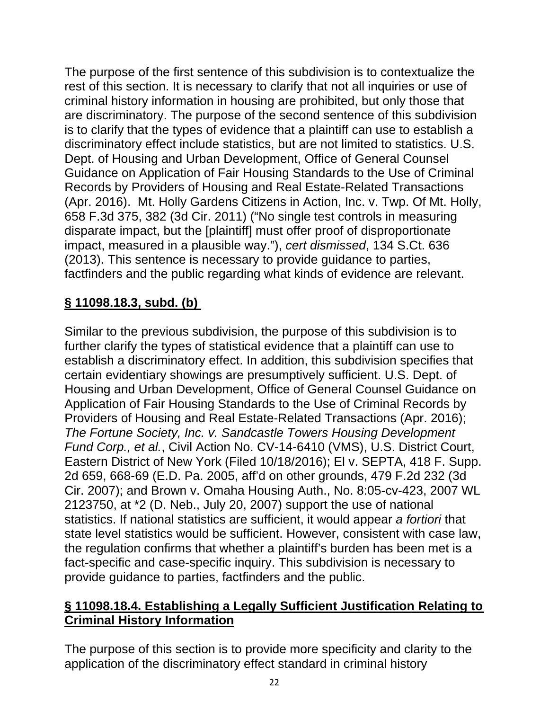The purpose of the first sentence of this subdivision is to contextualize the rest of this section. It is necessary to clarify that not all inquiries or use of criminal history information in housing are prohibited, but only those that are discriminatory. The purpose of the second sentence of this subdivision is to clarify that the types of evidence that a plaintiff can use to establish a discriminatory effect include statistics, but are not limited to statistics. U.S. Dept. of Housing and Urban Development, Office of General Counsel Guidance on Application of Fair Housing Standards to the Use of Criminal Records by Providers of Housing and Real Estate-Related Transactions (Apr. 2016). Mt. Holly Gardens Citizens in Action, Inc. v. Twp. Of Mt. Holly, 658 F.3d 375, 382 (3d Cir. 2011) ("No single test controls in measuring disparate impact, but the [plaintiff] must offer proof of disproportionate impact, measured in a plausible way."), *cert dismissed*, 134 S.Ct. 636 (2013). This sentence is necessary to provide guidance to parties, factfinders and the public regarding what kinds of evidence are relevant.

## **§ 11098.18.3, subd. (b)**

Similar to the previous subdivision, the purpose of this subdivision is to further clarify the types of statistical evidence that a plaintiff can use to establish a discriminatory effect. In addition, this subdivision specifies that certain evidentiary showings are presumptively sufficient. U.S. Dept. of Housing and Urban Development, Office of General Counsel Guidance on Application of Fair Housing Standards to the Use of Criminal Records by Providers of Housing and Real Estate-Related Transactions (Apr. 2016); *The Fortune Society, Inc. v. Sandcastle Towers Housing Development Fund Corp., et al.*, Civil Action No. CV-14-6410 (VMS), U.S. District Court, Eastern District of New York (Filed 10/18/2016); El v. SEPTA, 418 F. Supp. 2d 659, 668-69 (E.D. Pa. 2005, aff'd on other grounds, 479 F.2d 232 (3d Cir. 2007); and Brown v. Omaha Housing Auth., No. 8:05-cv-423, 2007 WL 2123750, at \*2 (D. Neb., July 20, 2007) support the use of national statistics. If national statistics are sufficient, it would appear *a fortiori* that state level statistics would be sufficient. However, consistent with case law, the regulation confirms that whether a plaintiff's burden has been met is a fact-specific and case-specific inquiry. This subdivision is necessary to provide guidance to parties, factfinders and the public.

#### **§ 11098.18.4. Establishing a Legally Sufficient Justification Relating to Criminal History Information**

The purpose of this section is to provide more specificity and clarity to the application of the discriminatory effect standard in criminal history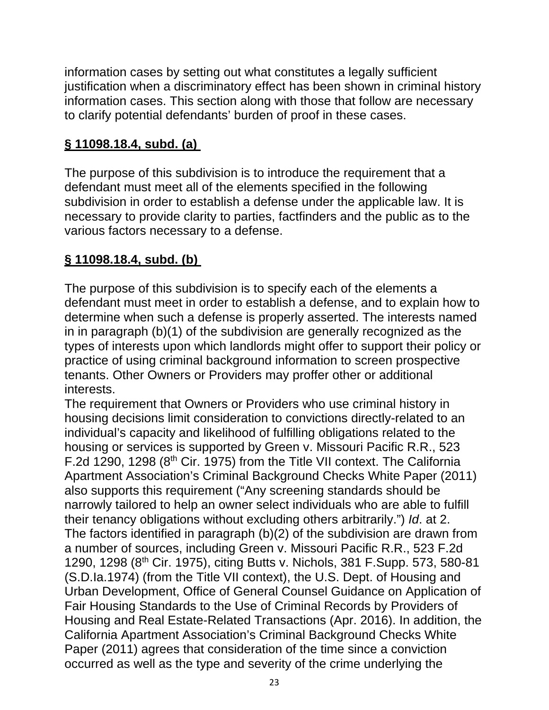information cases by setting out what constitutes a legally sufficient justification when a discriminatory effect has been shown in criminal history information cases. This section along with those that follow are necessary to clarify potential defendants' burden of proof in these cases.

# **§ 11098.18.4, subd. (a)**

The purpose of this subdivision is to introduce the requirement that a defendant must meet all of the elements specified in the following subdivision in order to establish a defense under the applicable law. It is necessary to provide clarity to parties, factfinders and the public as to the various factors necessary to a defense.

# **§ 11098.18.4, subd. (b)**

The purpose of this subdivision is to specify each of the elements a defendant must meet in order to establish a defense, and to explain how to determine when such a defense is properly asserted. The interests named in in paragraph (b)(1) of the subdivision are generally recognized as the types of interests upon which landlords might offer to support their policy or practice of using criminal background information to screen prospective tenants. Other Owners or Providers may proffer other or additional interests.

The requirement that Owners or Providers who use criminal history in housing decisions limit consideration to convictions directly-related to an individual's capacity and likelihood of fulfilling obligations related to the housing or services is supported by Green v. Missouri Pacific R.R., 523 F.2d 1290, 1298 ( $8<sup>th</sup>$  Cir. 1975) from the Title VII context. The California Apartment Association's Criminal Background Checks White Paper (2011) also supports this requirement ("Any screening standards should be narrowly tailored to help an owner select individuals who are able to fulfill their tenancy obligations without excluding others arbitrarily.") *Id*. at 2. The factors identified in paragraph (b)(2) of the subdivision are drawn from a number of sources, including Green v. Missouri Pacific R.R., 523 F.2d 1290, 1298 (8th Cir. 1975), citing Butts v. Nichols, 381 F.Supp. 573, 580-81 (S.D.Ia.1974) (from the Title VII context), the U.S. Dept. of Housing and Urban Development, Office of General Counsel Guidance on Application of Fair Housing Standards to the Use of Criminal Records by Providers of Housing and Real Estate-Related Transactions (Apr. 2016). In addition, the California Apartment Association's Criminal Background Checks White Paper (2011) agrees that consideration of the time since a conviction occurred as well as the type and severity of the crime underlying the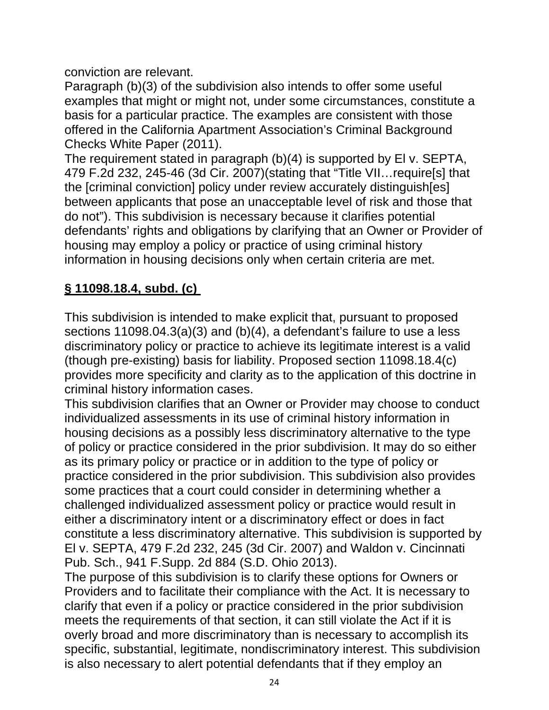conviction are relevant.

Paragraph (b)(3) of the subdivision also intends to offer some useful examples that might or might not, under some circumstances, constitute a basis for a particular practice. The examples are consistent with those offered in the California Apartment Association's Criminal Background Checks White Paper (2011).

The requirement stated in paragraph (b)(4) is supported by El v. SEPTA, 479 F.2d 232, 245-46 (3d Cir. 2007)(stating that "Title VII…require[s] that the [criminal conviction] policy under review accurately distinguish[es] between applicants that pose an unacceptable level of risk and those that do not"). This subdivision is necessary because it clarifies potential defendants' rights and obligations by clarifying that an Owner or Provider of housing may employ a policy or practice of using criminal history information in housing decisions only when certain criteria are met.

# **§ 11098.18.4, subd. (c)**

This subdivision is intended to make explicit that, pursuant to proposed sections 11098.04.3(a)(3) and (b)(4), a defendant's failure to use a less discriminatory policy or practice to achieve its legitimate interest is a valid (though pre-existing) basis for liability. Proposed section 11098.18.4(c) provides more specificity and clarity as to the application of this doctrine in criminal history information cases.

This subdivision clarifies that an Owner or Provider may choose to conduct individualized assessments in its use of criminal history information in housing decisions as a possibly less discriminatory alternative to the type of policy or practice considered in the prior subdivision. It may do so either as its primary policy or practice or in addition to the type of policy or practice considered in the prior subdivision. This subdivision also provides some practices that a court could consider in determining whether a challenged individualized assessment policy or practice would result in either a discriminatory intent or a discriminatory effect or does in fact constitute a less discriminatory alternative. This subdivision is supported by El v. SEPTA, 479 F.2d 232, 245 (3d Cir. 2007) and Waldon v. Cincinnati Pub. Sch., 941 F.Supp. 2d 884 (S.D. Ohio 2013).

The purpose of this subdivision is to clarify these options for Owners or Providers and to facilitate their compliance with the Act. It is necessary to clarify that even if a policy or practice considered in the prior subdivision meets the requirements of that section, it can still violate the Act if it is overly broad and more discriminatory than is necessary to accomplish its specific, substantial, legitimate, nondiscriminatory interest. This subdivision is also necessary to alert potential defendants that if they employ an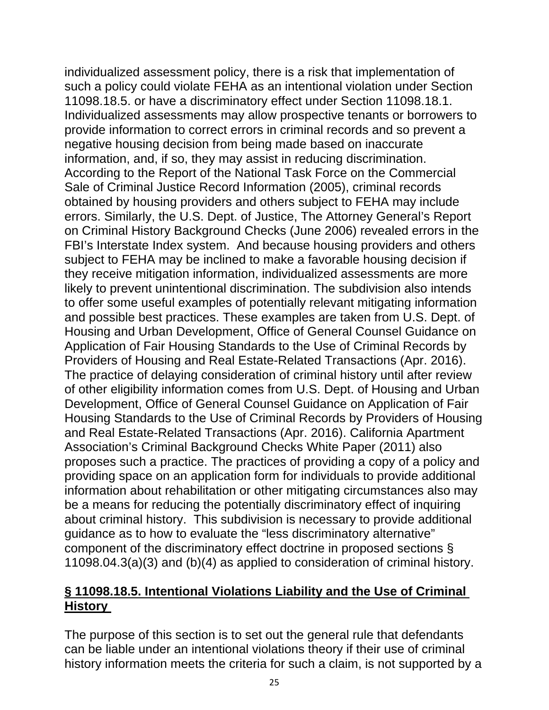individualized assessment policy, there is a risk that implementation of such a policy could violate FEHA as an intentional violation under Section 11098.18.5. or have a discriminatory effect under Section 11098.18.1. Individualized assessments may allow prospective tenants or borrowers to provide information to correct errors in criminal records and so prevent a negative housing decision from being made based on inaccurate information, and, if so, they may assist in reducing discrimination. According to the Report of the National Task Force on the Commercial Sale of Criminal Justice Record Information (2005), criminal records obtained by housing providers and others subject to FEHA may include errors. Similarly, the U.S. Dept. of Justice, The Attorney General's Report on Criminal History Background Checks (June 2006) revealed errors in the FBI's Interstate Index system. And because housing providers and others subject to FEHA may be inclined to make a favorable housing decision if they receive mitigation information, individualized assessments are more likely to prevent unintentional discrimination. The subdivision also intends to offer some useful examples of potentially relevant mitigating information and possible best practices. These examples are taken from U.S. Dept. of Housing and Urban Development, Office of General Counsel Guidance on Application of Fair Housing Standards to the Use of Criminal Records by Providers of Housing and Real Estate-Related Transactions (Apr. 2016). The practice of delaying consideration of criminal history until after review of other eligibility information comes from U.S. Dept. of Housing and Urban Development, Office of General Counsel Guidance on Application of Fair Housing Standards to the Use of Criminal Records by Providers of Housing and Real Estate-Related Transactions (Apr. 2016). California Apartment Association's Criminal Background Checks White Paper (2011) also proposes such a practice. The practices of providing a copy of a policy and providing space on an application form for individuals to provide additional information about rehabilitation or other mitigating circumstances also may be a means for reducing the potentially discriminatory effect of inquiring about criminal history. This subdivision is necessary to provide additional guidance as to how to evaluate the "less discriminatory alternative" component of the discriminatory effect doctrine in proposed sections § 11098.04.3(a)(3) and (b)(4) as applied to consideration of criminal history.

#### **§ 11098.18.5. Intentional Violations Liability and the Use of Criminal History**

The purpose of this section is to set out the general rule that defendants can be liable under an intentional violations theory if their use of criminal history information meets the criteria for such a claim, is not supported by a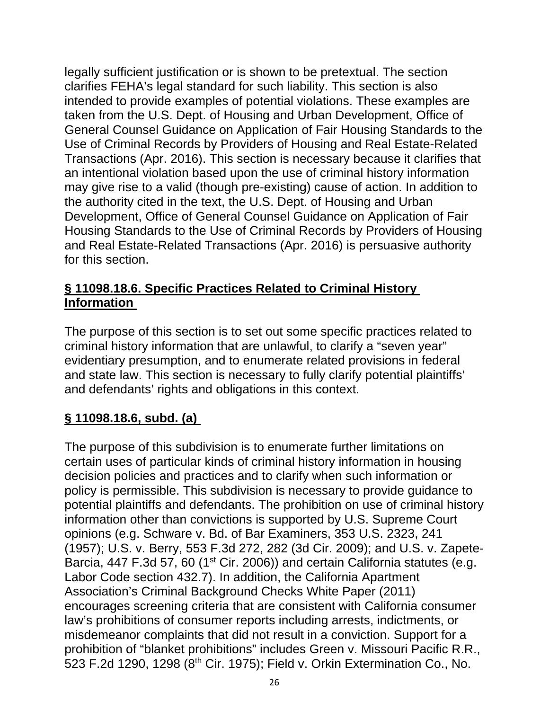legally sufficient justification or is shown to be pretextual. The section clarifies FEHA's legal standard for such liability. This section is also intended to provide examples of potential violations. These examples are taken from the U.S. Dept. of Housing and Urban Development, Office of General Counsel Guidance on Application of Fair Housing Standards to the Use of Criminal Records by Providers of Housing and Real Estate-Related Transactions (Apr. 2016). This section is necessary because it clarifies that an intentional violation based upon the use of criminal history information may give rise to a valid (though pre-existing) cause of action. In addition to the authority cited in the text, the U.S. Dept. of Housing and Urban Development, Office of General Counsel Guidance on Application of Fair Housing Standards to the Use of Criminal Records by Providers of Housing and Real Estate-Related Transactions (Apr. 2016) is persuasive authority for this section.

#### **§ 11098.18.6. Specific Practices Related to Criminal History Information**

The purpose of this section is to set out some specific practices related to criminal history information that are unlawful, to clarify a "seven year" evidentiary presumption, and to enumerate related provisions in federal and state law. This section is necessary to fully clarify potential plaintiffs' and defendants' rights and obligations in this context.

# **§ 11098.18.6, subd. (a)**

The purpose of this subdivision is to enumerate further limitations on certain uses of particular kinds of criminal history information in housing decision policies and practices and to clarify when such information or policy is permissible. This subdivision is necessary to provide guidance to potential plaintiffs and defendants. The prohibition on use of criminal history information other than convictions is supported by U.S. Supreme Court opinions (e.g. Schware v. Bd. of Bar Examiners, 353 U.S. 2323, 241 (1957); U.S. v. Berry, 553 F.3d 272, 282 (3d Cir. 2009); and U.S. v. Zapete-Barcia, 447 F.3d 57, 60 (1<sup>st</sup> Cir. 2006)) and certain California statutes (e.g. Labor Code section 432.7). In addition, the California Apartment Association's Criminal Background Checks White Paper (2011) encourages screening criteria that are consistent with California consumer law's prohibitions of consumer reports including arrests, indictments, or misdemeanor complaints that did not result in a conviction. Support for a prohibition of "blanket prohibitions" includes Green v. Missouri Pacific R.R., 523 F.2d 1290, 1298 (8th Cir. 1975); Field v. Orkin Extermination Co., No.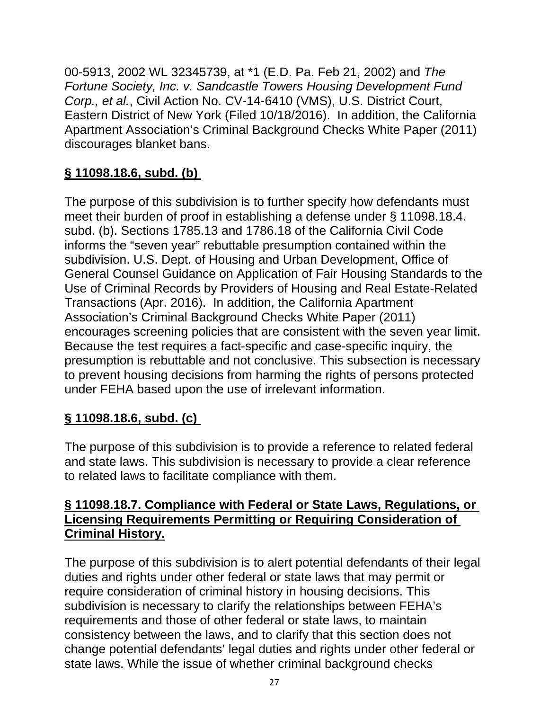00-5913, 2002 WL 32345739, at \*1 (E.D. Pa. Feb 21, 2002) and *The Fortune Society, Inc. v. Sandcastle Towers Housing Development Fund Corp., et al.*, Civil Action No. CV-14-6410 (VMS), U.S. District Court, Eastern District of New York (Filed 10/18/2016). In addition, the California Apartment Association's Criminal Background Checks White Paper (2011) discourages blanket bans.

# **§ 11098.18.6, subd. (b)**

The purpose of this subdivision is to further specify how defendants must meet their burden of proof in establishing a defense under § 11098.18.4. subd. (b). Sections 1785.13 and 1786.18 of the California Civil Code informs the "seven year" rebuttable presumption contained within the subdivision. U.S. Dept. of Housing and Urban Development, Office of General Counsel Guidance on Application of Fair Housing Standards to the Use of Criminal Records by Providers of Housing and Real Estate-Related Transactions (Apr. 2016). In addition, the California Apartment Association's Criminal Background Checks White Paper (2011) encourages screening policies that are consistent with the seven year limit. Because the test requires a fact-specific and case-specific inquiry, the presumption is rebuttable and not conclusive. This subsection is necessary to prevent housing decisions from harming the rights of persons protected under FEHA based upon the use of irrelevant information.

# **§ 11098.18.6, subd. (c)**

The purpose of this subdivision is to provide a reference to related federal and state laws. This subdivision is necessary to provide a clear reference to related laws to facilitate compliance with them.

## **§ 11098.18.7. Compliance with Federal or State Laws, Regulations, or Licensing Requirements Permitting or Requiring Consideration of Criminal History.**

The purpose of this subdivision is to alert potential defendants of their legal duties and rights under other federal or state laws that may permit or require consideration of criminal history in housing decisions. This subdivision is necessary to clarify the relationships between FEHA's requirements and those of other federal or state laws, to maintain consistency between the laws, and to clarify that this section does not change potential defendants' legal duties and rights under other federal or state laws. While the issue of whether criminal background checks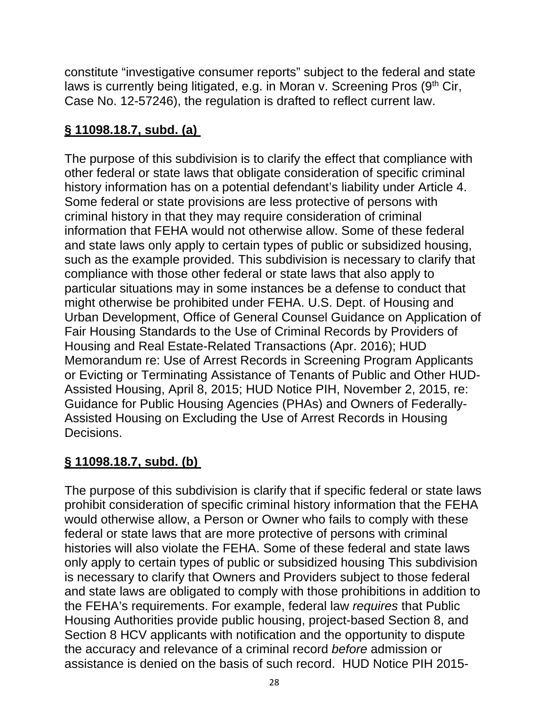constitute "investigative consumer reports" subject to the federal and state laws is currently being litigated, e.g. in Moran v. Screening Pros  $(9<sup>th</sup> Cir,$ Case No. 12-57246), the regulation is drafted to reflect current law.

# **§ 11098.18.7, subd. (a)**

The purpose of this subdivision is to clarify the effect that compliance with other federal or state laws that obligate consideration of specific criminal history information has on a potential defendant's liability under Article 4. Some federal or state provisions are less protective of persons with criminal history in that they may require consideration of criminal information that FEHA would not otherwise allow. Some of these federal and state laws only apply to certain types of public or subsidized housing, such as the example provided. This subdivision is necessary to clarify that compliance with those other federal or state laws that also apply to particular situations may in some instances be a defense to conduct that might otherwise be prohibited under FEHA. U.S. Dept. of Housing and Urban Development, Office of General Counsel Guidance on Application of Fair Housing Standards to the Use of Criminal Records by Providers of Housing and Real Estate-Related Transactions (Apr. 2016); HUD Memorandum re: Use of Arrest Records in Screening Program Applicants or Evicting or Terminating Assistance of Tenants of Public and Other HUD-Assisted Housing, April 8, 2015; HUD Notice PIH, November 2, 2015, re: Guidance for Public Housing Agencies (PHAs) and Owners of Federally-Assisted Housing on Excluding the Use of Arrest Records in Housing Decisions.

# **§ 11098.18.7, subd. (b)**

The purpose of this subdivision is clarify that if specific federal or state laws prohibit consideration of specific criminal history information that the FEHA would otherwise allow, a Person or Owner who fails to comply with these federal or state laws that are more protective of persons with criminal histories will also violate the FEHA. Some of these federal and state laws only apply to certain types of public or subsidized housing This subdivision is necessary to clarify that Owners and Providers subject to those federal and state laws are obligated to comply with those prohibitions in addition to the FEHA's requirements. For example, federal law *requires* that Public Housing Authorities provide public housing, project-based Section 8, and Section 8 HCV applicants with notification and the opportunity to dispute the accuracy and relevance of a criminal record *before* admission or assistance is denied on the basis of such record. HUD Notice PIH 2015-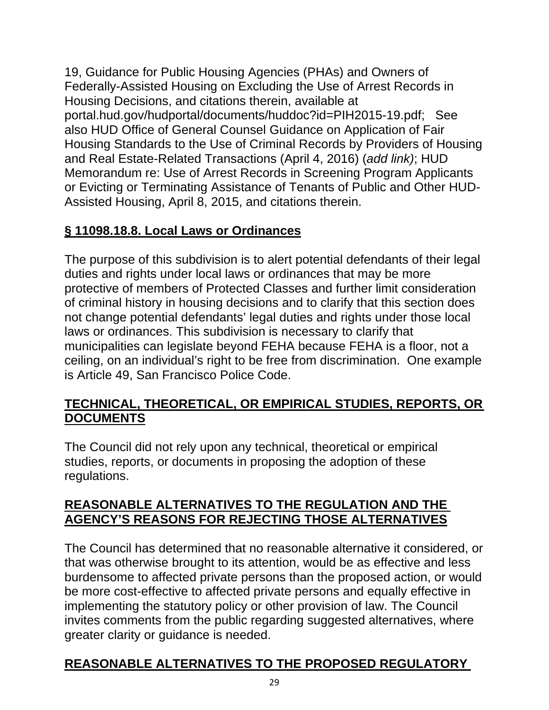19, Guidance for Public Housing Agencies (PHAs) and Owners of Federally-Assisted Housing on Excluding the Use of Arrest Records in Housing Decisions, and citations therein, available at portal.hud.gov/hudportal/documents/huddoc?id=PIH2015-19.pdf; See also HUD Office of General Counsel Guidance on Application of Fair Housing Standards to the Use of Criminal Records by Providers of Housing and Real Estate-Related Transactions (April 4, 2016) (*add link)*; HUD Memorandum re: Use of Arrest Records in Screening Program Applicants or Evicting or Terminating Assistance of Tenants of Public and Other HUD-Assisted Housing, April 8, 2015, and citations therein.

## **§ 11098.18.8. Local Laws or Ordinances**

The purpose of this subdivision is to alert potential defendants of their legal duties and rights under local laws or ordinances that may be more protective of members of Protected Classes and further limit consideration of criminal history in housing decisions and to clarify that this section does not change potential defendants' legal duties and rights under those local laws or ordinances. This subdivision is necessary to clarify that municipalities can legislate beyond FEHA because FEHA is a floor, not a ceiling, on an individual's right to be free from discrimination. One example is Article 49, San Francisco Police Code.

#### **TECHNICAL, THEORETICAL, OR EMPIRICAL STUDIES, REPORTS, OR DOCUMENTS**

The Council did not rely upon any technical, theoretical or empirical studies, reports, or documents in proposing the adoption of these regulations.

#### **REASONABLE ALTERNATIVES TO THE REGULATION AND THE AGENCY'S REASONS FOR REJECTING THOSE ALTERNATIVES**

The Council has determined that no reasonable alternative it considered, or that was otherwise brought to its attention, would be as effective and less burdensome to affected private persons than the proposed action, or would be more cost-effective to affected private persons and equally effective in implementing the statutory policy or other provision of law. The Council invites comments from the public regarding suggested alternatives, where greater clarity or guidance is needed.

# **REASONABLE ALTERNATIVES TO THE PROPOSED REGULATORY**